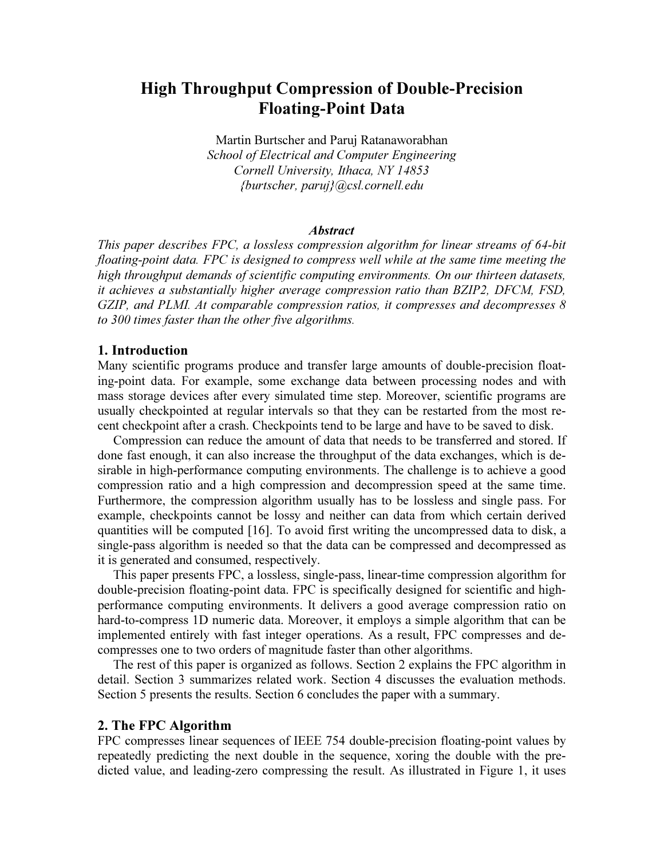# High Throughput Compression of Double-Precision Floating-Point Data

Martin Burtscher and Paruj Ratanaworabhan School of Electrical and Computer Engineering Cornell University, Ithaca, NY 14853 {burtscher, paruj}@csl.cornell.edu

#### Abstract

This paper describes FPC, a lossless compression algorithm for linear streams of 64-bit floating-point data. FPC is designed to compress well while at the same time meeting the high throughput demands of scientific computing environments. On our thirteen datasets, it achieves a substantially higher average compression ratio than BZIP2, DFCM, FSD, GZIP, and PLMI. At comparable compression ratios, it compresses and decompresses 8 to 300 times faster than the other five algorithms.

## 1. Introduction

Many scientific programs produce and transfer large amounts of double-precision floating-point data. For example, some exchange data between processing nodes and with mass storage devices after every simulated time step. Moreover, scientific programs are usually checkpointed at regular intervals so that they can be restarted from the most recent checkpoint after a crash. Checkpoints tend to be large and have to be saved to disk.

Compression can reduce the amount of data that needs to be transferred and stored. If done fast enough, it can also increase the throughput of the data exchanges, which is desirable in high-performance computing environments. The challenge is to achieve a good compression ratio and a high compression and decompression speed at the same time. Furthermore, the compression algorithm usually has to be lossless and single pass. For example, checkpoints cannot be lossy and neither can data from which certain derived quantities will be computed [16]. To avoid first writing the uncompressed data to disk, a single-pass algorithm is needed so that the data can be compressed and decompressed as it is generated and consumed, respectively.

This paper presents FPC, a lossless, single-pass, linear-time compression algorithm for double-precision floating-point data. FPC is specifically designed for scientific and highperformance computing environments. It delivers a good average compression ratio on hard-to-compress 1D numeric data. Moreover, it employs a simple algorithm that can be implemented entirely with fast integer operations. As a result, FPC compresses and decompresses one to two orders of magnitude faster than other algorithms.

The rest of this paper is organized as follows. Section 2 explains the FPC algorithm in detail. Section 3 summarizes related work. Section 4 discusses the evaluation methods. Section 5 presents the results. Section 6 concludes the paper with a summary.

#### 2. The FPC Algorithm

FPC compresses linear sequences of IEEE 754 double-precision floating-point values by repeatedly predicting the next double in the sequence, xoring the double with the predicted value, and leading-zero compressing the result. As illustrated in Figure 1, it uses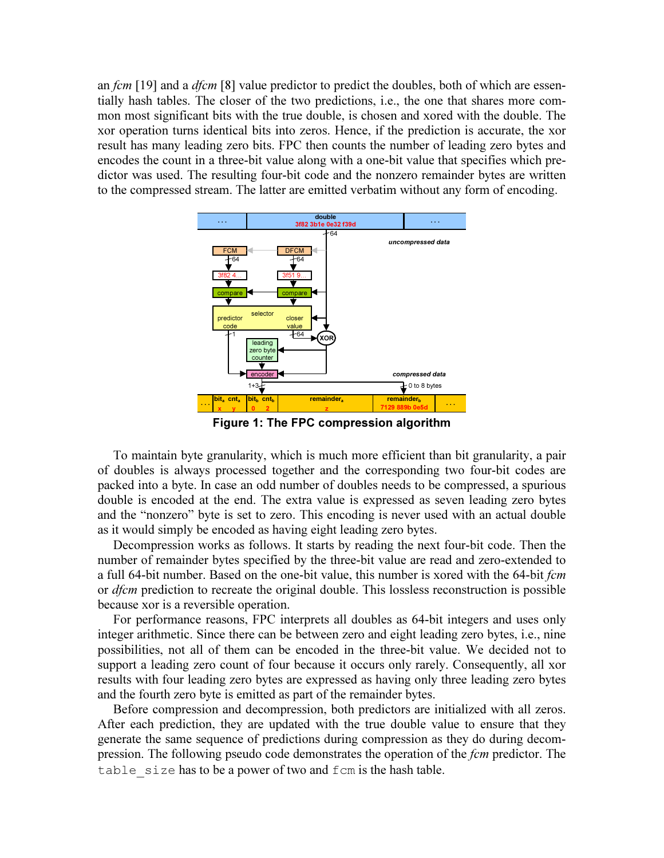an *fcm* [19] and a *dfcm* [8] value predictor to predict the doubles, both of which are essentially hash tables. The closer of the two predictions, i.e., the one that shares more common most significant bits with the true double, is chosen and xored with the double. The xor operation turns identical bits into zeros. Hence, if the prediction is accurate, the xor result has many leading zero bits. FPC then counts the number of leading zero bytes and encodes the count in a three-bit value along with a one-bit value that specifies which predictor was used. The resulting four-bit code and the nonzero remainder bytes are written to the compressed stream. The latter are emitted verbatim without any form of encoding.



Figure 1: The FPC compression algorithm

To maintain byte granularity, which is much more efficient than bit granularity, a pair of doubles is always processed together and the corresponding two four-bit codes are packed into a byte. In case an odd number of doubles needs to be compressed, a spurious double is encoded at the end. The extra value is expressed as seven leading zero bytes and the "nonzero" byte is set to zero. This encoding is never used with an actual double as it would simply be encoded as having eight leading zero bytes.

Decompression works as follows. It starts by reading the next four-bit code. Then the number of remainder bytes specified by the three-bit value are read and zero-extended to a full 64-bit number. Based on the one-bit value, this number is xored with the 64-bit fcm or *dfcm* prediction to recreate the original double. This lossless reconstruction is possible because xor is a reversible operation.

For performance reasons, FPC interprets all doubles as 64-bit integers and uses only integer arithmetic. Since there can be between zero and eight leading zero bytes, i.e., nine possibilities, not all of them can be encoded in the three-bit value. We decided not to support a leading zero count of four because it occurs only rarely. Consequently, all xor results with four leading zero bytes are expressed as having only three leading zero bytes and the fourth zero byte is emitted as part of the remainder bytes.

Before compression and decompression, both predictors are initialized with all zeros. After each prediction, they are updated with the true double value to ensure that they generate the same sequence of predictions during compression as they do during decompression. The following pseudo code demonstrates the operation of the *fcm* predictor. The table size has to be a power of two and fcm is the hash table.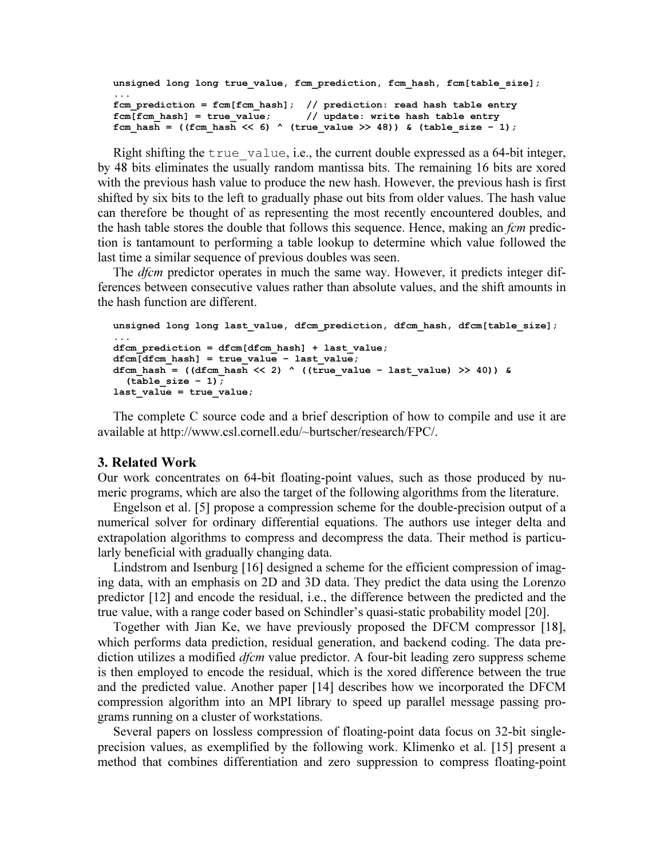```
unsigned long long true value, fcm prediction, fcm hash, fcm[table size];
... 
fcm_prediction = fcm[fcm_hash]; // prediction: read hash table entry
fcm[fcm hash] = true value; // update: write hash table entry
fcm hash = ((fcm hash << 6) ^ (true value >> 48)) & (table size - 1);
```
Right shifting the  $true$  value, i.e., the current double expressed as a 64-bit integer, by 48 bits eliminates the usually random mantissa bits. The remaining 16 bits are xored with the previous hash value to produce the new hash. However, the previous hash is first shifted by six bits to the left to gradually phase out bits from older values. The hash value can therefore be thought of as representing the most recently encountered doubles, and the hash table stores the double that follows this sequence. Hence, making an  $fcm$  prediction is tantamount to performing a table lookup to determine which value followed the last time a similar sequence of previous doubles was seen.

The *dfcm* predictor operates in much the same way. However, it predicts integer differences between consecutive values rather than absolute values, and the shift amounts in the hash function are different.

```
unsigned long long last value, dfcm prediction, dfcm hash, dfcm[table size];
... 
dfcm prediction = dfcm[dfcm hash] + last value;
dfcm[dfcm hash] = true value – last value;
dfcm hash = ((dfcm hash << 2) ^ ((true value – last_value) >> 40)) &
  (table size – 1);
last value = true value;
```
The complete C source code and a brief description of how to compile and use it are available at http://www.csl.cornell.edu/~burtscher/research/FPC/.

#### 3. Related Work

Our work concentrates on 64-bit floating-point values, such as those produced by numeric programs, which are also the target of the following algorithms from the literature.

Engelson et al. [5] propose a compression scheme for the double-precision output of a numerical solver for ordinary differential equations. The authors use integer delta and extrapolation algorithms to compress and decompress the data. Their method is particularly beneficial with gradually changing data.

Lindstrom and Isenburg [16] designed a scheme for the efficient compression of imaging data, with an emphasis on 2D and 3D data. They predict the data using the Lorenzo predictor [12] and encode the residual, i.e., the difference between the predicted and the true value, with a range coder based on Schindler's quasi-static probability model [20].

Together with Jian Ke, we have previously proposed the DFCM compressor [18], which performs data prediction, residual generation, and backend coding. The data prediction utilizes a modified *dfcm* value predictor. A four-bit leading zero suppress scheme is then employed to encode the residual, which is the xored difference between the true and the predicted value. Another paper [14] describes how we incorporated the DFCM compression algorithm into an MPI library to speed up parallel message passing programs running on a cluster of workstations.

Several papers on lossless compression of floating-point data focus on 32-bit singleprecision values, as exemplified by the following work. Klimenko et al. [15] present a method that combines differentiation and zero suppression to compress floating-point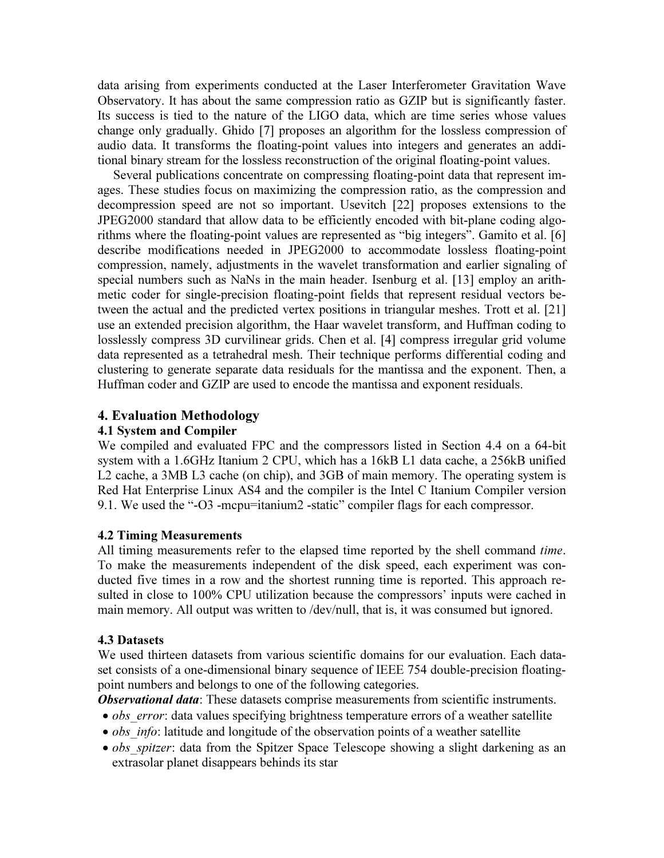data arising from experiments conducted at the Laser Interferometer Gravitation Wave Observatory. It has about the same compression ratio as GZIP but is significantly faster. Its success is tied to the nature of the LIGO data, which are time series whose values change only gradually. Ghido [7] proposes an algorithm for the lossless compression of audio data. It transforms the floating-point values into integers and generates an additional binary stream for the lossless reconstruction of the original floating-point values.

Several publications concentrate on compressing floating-point data that represent images. These studies focus on maximizing the compression ratio, as the compression and decompression speed are not so important. Usevitch [22] proposes extensions to the JPEG2000 standard that allow data to be efficiently encoded with bit-plane coding algorithms where the floating-point values are represented as "big integers". Gamito et al. [6] describe modifications needed in JPEG2000 to accommodate lossless floating-point compression, namely, adjustments in the wavelet transformation and earlier signaling of special numbers such as NaNs in the main header. Isenburg et al. [13] employ an arithmetic coder for single-precision floating-point fields that represent residual vectors between the actual and the predicted vertex positions in triangular meshes. Trott et al. [21] use an extended precision algorithm, the Haar wavelet transform, and Huffman coding to losslessly compress 3D curvilinear grids. Chen et al. [4] compress irregular grid volume data represented as a tetrahedral mesh. Their technique performs differential coding and clustering to generate separate data residuals for the mantissa and the exponent. Then, a Huffman coder and GZIP are used to encode the mantissa and exponent residuals.

## 4. Evaluation Methodology

## 4.1 System and Compiler

We compiled and evaluated FPC and the compressors listed in Section 4.4 on a 64-bit system with a 1.6GHz Itanium 2 CPU, which has a 16kB L1 data cache, a 256kB unified L2 cache, a 3MB L3 cache (on chip), and 3GB of main memory. The operating system is Red Hat Enterprise Linux AS4 and the compiler is the Intel C Itanium Compiler version 9.1. We used the "-O3 -mcpu=itanium2 -static" compiler flags for each compressor.

## 4.2 Timing Measurements

All timing measurements refer to the elapsed time reported by the shell command *time*. To make the measurements independent of the disk speed, each experiment was conducted five times in a row and the shortest running time is reported. This approach resulted in close to 100% CPU utilization because the compressors' inputs were cached in main memory. All output was written to /dev/null, that is, it was consumed but ignored.

#### 4.3 Datasets

We used thirteen datasets from various scientific domains for our evaluation. Each dataset consists of a one-dimensional binary sequence of IEEE 754 double-precision floatingpoint numbers and belongs to one of the following categories.

**Observational data:** These datasets comprise measurements from scientific instruments.

- obs error: data values specifying brightness temperature errors of a weather satellite
- $\bullet$  *obs info*: latitude and longitude of the observation points of a weather satellite
- *obs spitzer*: data from the Spitzer Space Telescope showing a slight darkening as an extrasolar planet disappears behinds its star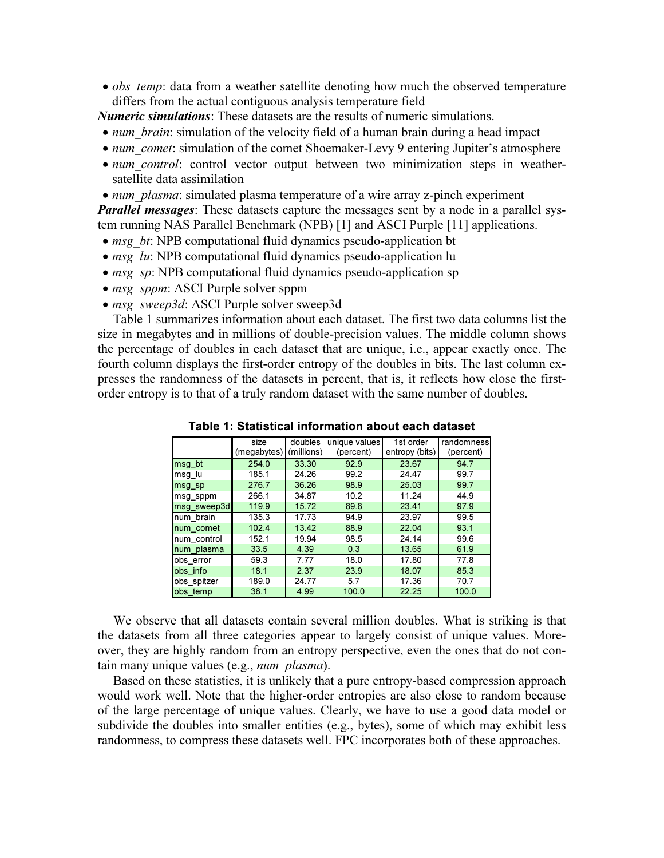• obs temp: data from a weather satellite denoting how much the observed temperature differs from the actual contiguous analysis temperature field

*Numeric simulations:* These datasets are the results of numeric simulations.

- *num* brain: simulation of the velocity field of a human brain during a head impact
- num\_comet: simulation of the comet Shoemaker-Levy 9 entering Jupiter's atmosphere
- num control: control vector output between two minimization steps in weathersatellite data assimilation

• *num* plasma: simulated plasma temperature of a wire array z-pinch experiment **Parallel messages:** These datasets capture the messages sent by a node in a parallel system running NAS Parallel Benchmark (NPB) [1] and ASCI Purple [11] applications.

- $msg$  bt: NPB computational fluid dynamics pseudo-application bt
- $msg$  lu: NPB computational fluid dynamics pseudo-application lu
- *msg\_sp*: NPB computational fluid dynamics pseudo-application sp
- *msg\_sppm*: ASCI Purple solver sppm
- msg\_sweep3d: ASCI Purple solver sweep3d

Table 1 summarizes information about each dataset. The first two data columns list the size in megabytes and in millions of double-precision values. The middle column shows the percentage of doubles in each dataset that are unique, i.e., appear exactly once. The fourth column displays the first-order entropy of the doubles in bits. The last column expresses the randomness of the datasets in percent, that is, it reflects how close the firstorder entropy is to that of a truly random dataset with the same number of doubles.

|             | size        | doubles    | unique values | 1st order      | randomness |
|-------------|-------------|------------|---------------|----------------|------------|
|             | (megabytes) | (millions) | (percent)     | entropy (bits) | (percent)  |
| msg bt      | 254.0       | 33.30      | 92.9          | 23.67          | 94.7       |
| msg lu      | 185.1       | 24.26      | 99.2          | 24.47          | 99.7       |
| msg sp      | 276.7       | 36.26      | 98.9          | 25.03          | 99.7       |
| msg sppm    | 266.1       | 34.87      | 10.2          | 11.24          | 44.9       |
| msg sweep3d | 119.9       | 15.72      | 89.8          | 23.41          | 97.9       |
| num brain   | 135.3       | 17.73      | 94.9          | 23.97          | 99.5       |
| num comet   | 102.4       | 13.42      | 88.9          | 22.04          | 93.1       |
| num control | 152.1       | 19.94      | 98.5          | 24.14          | 99.6       |
| num plasma  | 33.5        | 4.39       | 0.3           | 13.65          | 61.9       |
| obs error   | 59.3        | 7.77       | 18.0          | 17.80          | 77.8       |
| obs info    | 18.1        | 2.37       | 23.9          | 18.07          | 85.3       |
| obs_spitzer | 189.0       | 24.77      | 5.7           | 17.36          | 70.7       |
| obs temp    | 38.1        | 4.99       | 100.0         | 22.25          | 100.0      |

Table 1: Statistical information about each dataset

We observe that all datasets contain several million doubles. What is striking is that the datasets from all three categories appear to largely consist of unique values. Moreover, they are highly random from an entropy perspective, even the ones that do not contain many unique values (e.g., *num\_plasma*).

Based on these statistics, it is unlikely that a pure entropy-based compression approach would work well. Note that the higher-order entropies are also close to random because of the large percentage of unique values. Clearly, we have to use a good data model or subdivide the doubles into smaller entities (e.g., bytes), some of which may exhibit less randomness, to compress these datasets well. FPC incorporates both of these approaches.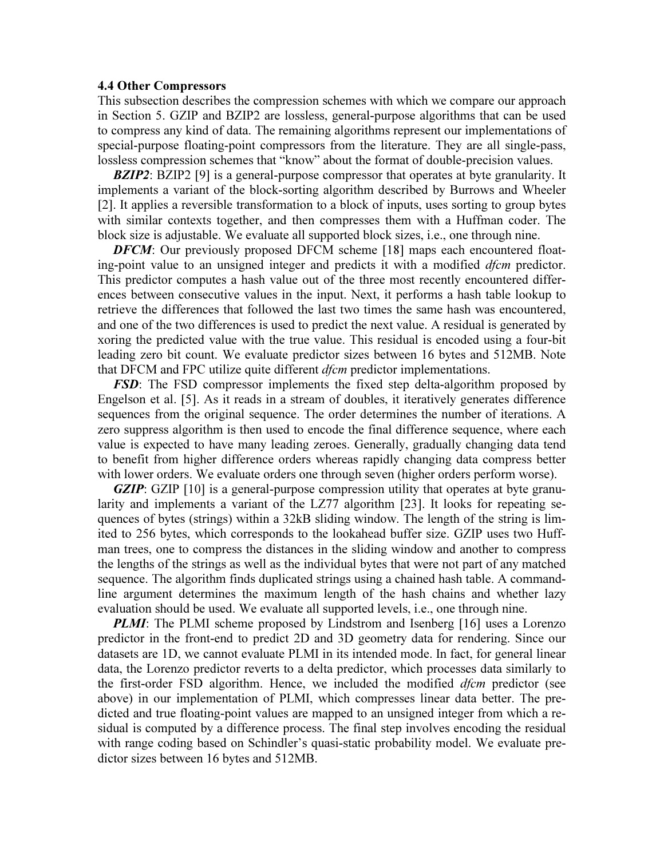#### 4.4 Other Compressors

This subsection describes the compression schemes with which we compare our approach in Section 5. GZIP and BZIP2 are lossless, general-purpose algorithms that can be used to compress any kind of data. The remaining algorithms represent our implementations of special-purpose floating-point compressors from the literature. They are all single-pass, lossless compression schemes that "know" about the format of double-precision values.

**BZIP2**: BZIP2 [9] is a general-purpose compressor that operates at byte granularity. It implements a variant of the block-sorting algorithm described by Burrows and Wheeler [2]. It applies a reversible transformation to a block of inputs, uses sorting to group bytes with similar contexts together, and then compresses them with a Huffman coder. The block size is adjustable. We evaluate all supported block sizes, i.e., one through nine.

**DFCM:** Our previously proposed DFCM scheme [18] maps each encountered floating-point value to an unsigned integer and predicts it with a modified *dfcm* predictor. This predictor computes a hash value out of the three most recently encountered differences between consecutive values in the input. Next, it performs a hash table lookup to retrieve the differences that followed the last two times the same hash was encountered, and one of the two differences is used to predict the next value. A residual is generated by xoring the predicted value with the true value. This residual is encoded using a four-bit leading zero bit count. We evaluate predictor sizes between 16 bytes and 512MB. Note that DFCM and FPC utilize quite different *dfcm* predictor implementations.

FSD: The FSD compressor implements the fixed step delta-algorithm proposed by Engelson et al. [5]. As it reads in a stream of doubles, it iteratively generates difference sequences from the original sequence. The order determines the number of iterations. A zero suppress algorithm is then used to encode the final difference sequence, where each value is expected to have many leading zeroes. Generally, gradually changing data tend to benefit from higher difference orders whereas rapidly changing data compress better with lower orders. We evaluate orders one through seven (higher orders perform worse).

**GZIP**: GZIP [10] is a general-purpose compression utility that operates at byte granularity and implements a variant of the LZ77 algorithm [23]. It looks for repeating sequences of bytes (strings) within a 32kB sliding window. The length of the string is limited to 256 bytes, which corresponds to the lookahead buffer size. GZIP uses two Huffman trees, one to compress the distances in the sliding window and another to compress the lengths of the strings as well as the individual bytes that were not part of any matched sequence. The algorithm finds duplicated strings using a chained hash table. A commandline argument determines the maximum length of the hash chains and whether lazy evaluation should be used. We evaluate all supported levels, i.e., one through nine.

**PLMI:** The PLMI scheme proposed by Lindstrom and Isenberg [16] uses a Lorenzo predictor in the front-end to predict 2D and 3D geometry data for rendering. Since our datasets are 1D, we cannot evaluate PLMI in its intended mode. In fact, for general linear data, the Lorenzo predictor reverts to a delta predictor, which processes data similarly to the first-order FSD algorithm. Hence, we included the modified *dfcm* predictor (see above) in our implementation of PLMI, which compresses linear data better. The predicted and true floating-point values are mapped to an unsigned integer from which a residual is computed by a difference process. The final step involves encoding the residual with range coding based on Schindler's quasi-static probability model. We evaluate predictor sizes between 16 bytes and 512MB.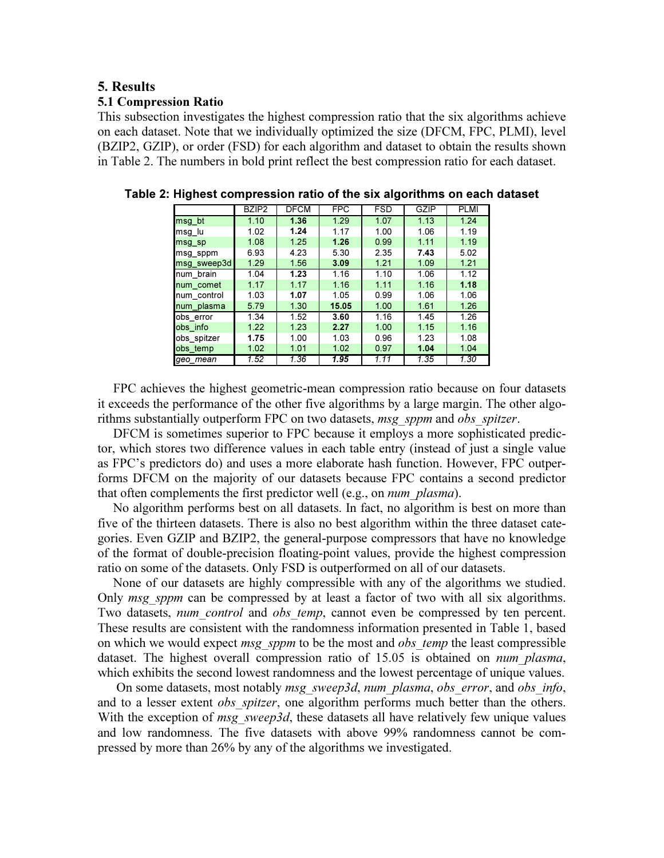## 5. Results

## 5.1 Compression Ratio

This subsection investigates the highest compression ratio that the six algorithms achieve on each dataset. Note that we individually optimized the size (DFCM, FPC, PLMI), level (BZIP2, GZIP), or order (FSD) for each algorithm and dataset to obtain the results shown in Table 2. The numbers in bold print reflect the best compression ratio for each dataset.

|             | BZIP <sub>2</sub> | <b>DFCM</b> | <b>FPC</b> | <b>FSD</b> | GZIP | <b>PLMI</b> |
|-------------|-------------------|-------------|------------|------------|------|-------------|
| msg_bt      | 1.10              | 1.36        | 1.29       | 1.07       | 1.13 | 1.24        |
| msg lu      | 1.02              | 1.24        | 1.17       | 1.00       | 1.06 | 1.19        |
| msg sp      | 1.08              | 1.25        | 1.26       | 0.99       | 1.11 | 1.19        |
| msg sppm    | 6.93              | 4.23        | 5.30       | 2.35       | 7.43 | 5.02        |
| msg sweep3d | 1.29              | 1.56        | 3.09       | 1.21       | 1.09 | 1.21        |
| num brain   | 1.04              | 1.23        | 1.16       | 1.10       | 1.06 | 1.12        |
| num comet   | 1.17              | 1.17        | 1.16       | 1.11       | 1.16 | 1.18        |
| num control | 1.03              | 1.07        | 1.05       | 0.99       | 1.06 | 1.06        |
| num plasma  | 5.79              | 1.30        | 15.05      | 1.00       | 1.61 | 1.26        |
| obs error   | 1.34              | 1.52        | 3.60       | 1.16       | 1.45 | 1.26        |
| obs info    | 1.22              | 1.23        | 2.27       | 1.00       | 1.15 | 1.16        |
| obs spitzer | 1.75              | 1.00        | 1.03       | 0.96       | 1.23 | 1.08        |
| obs temp    | 1.02              | 1.01        | 1.02       | 0.97       | 1.04 | 1.04        |
| geo mean    | 1.52              | 1.36        | 1.95       | 1.11       | 1.35 | 1.30        |

Table 2: Highest compression ratio of the six algorithms on each dataset

FPC achieves the highest geometric-mean compression ratio because on four datasets it exceeds the performance of the other five algorithms by a large margin. The other algorithms substantially outperform FPC on two datasets, *msg\_sppm* and *obs\_spitzer*.

DFCM is sometimes superior to FPC because it employs a more sophisticated predictor, which stores two difference values in each table entry (instead of just a single value as FPC's predictors do) and uses a more elaborate hash function. However, FPC outperforms DFCM on the majority of our datasets because FPC contains a second predictor that often complements the first predictor well (e.g., on *num\_plasma*).

No algorithm performs best on all datasets. In fact, no algorithm is best on more than five of the thirteen datasets. There is also no best algorithm within the three dataset categories. Even GZIP and BZIP2, the general-purpose compressors that have no knowledge of the format of double-precision floating-point values, provide the highest compression ratio on some of the datasets. Only FSD is outperformed on all of our datasets.

None of our datasets are highly compressible with any of the algorithms we studied. Only *msg sppm* can be compressed by at least a factor of two with all six algorithms. Two datasets, *num* control and obs temp, cannot even be compressed by ten percent. These results are consistent with the randomness information presented in Table 1, based on which we would expect *msg\_sppm* to be the most and *obs\_temp* the least compressible dataset. The highest overall compression ratio of 15.05 is obtained on *num plasma*, which exhibits the second lowest randomness and the lowest percentage of unique values.

On some datasets, most notably *msg\_sweep3d, num\_plasma, obs\_error*, and *obs\_info,* and to a lesser extent *obs spitzer*, one algorithm performs much better than the others. With the exception of *msg\_sweep3d*, these datasets all have relatively few unique values and low randomness. The five datasets with above 99% randomness cannot be compressed by more than 26% by any of the algorithms we investigated.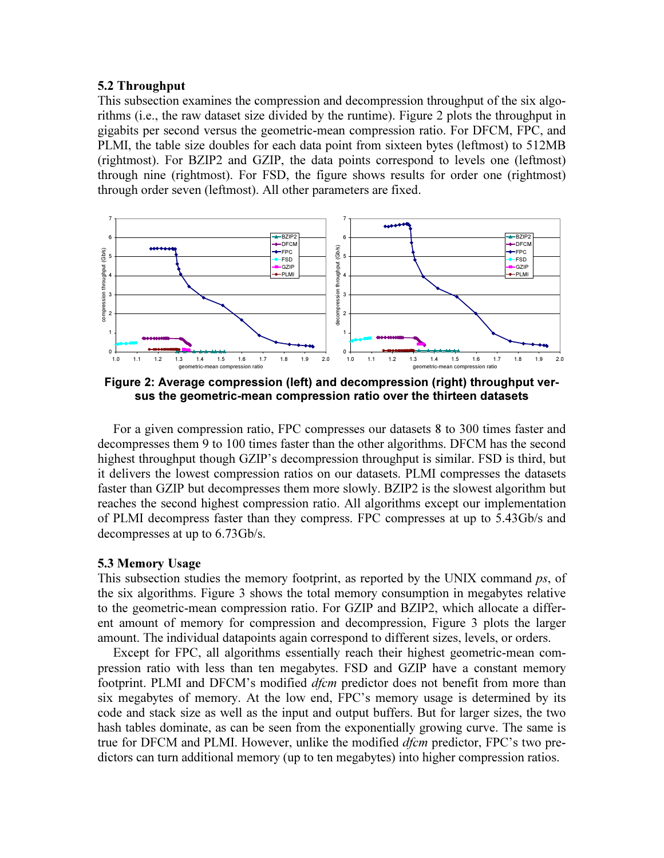## 5.2 Throughput

This subsection examines the compression and decompression throughput of the six algorithms (i.e., the raw dataset size divided by the runtime). Figure 2 plots the throughput in gigabits per second versus the geometric-mean compression ratio. For DFCM, FPC, and PLMI, the table size doubles for each data point from sixteen bytes (leftmost) to 512MB (rightmost). For BZIP2 and GZIP, the data points correspond to levels one (leftmost) through nine (rightmost). For FSD, the figure shows results for order one (rightmost) through order seven (leftmost). All other parameters are fixed.



Figure 2: Average compression (left) and decompression (right) throughput versus the geometric-mean compression ratio over the thirteen datasets

For a given compression ratio, FPC compresses our datasets 8 to 300 times faster and decompresses them 9 to 100 times faster than the other algorithms. DFCM has the second highest throughput though GZIP's decompression throughput is similar. FSD is third, but it delivers the lowest compression ratios on our datasets. PLMI compresses the datasets faster than GZIP but decompresses them more slowly. BZIP2 is the slowest algorithm but reaches the second highest compression ratio. All algorithms except our implementation of PLMI decompress faster than they compress. FPC compresses at up to 5.43Gb/s and decompresses at up to 6.73Gb/s.

#### 5.3 Memory Usage

This subsection studies the memory footprint, as reported by the UNIX command ps, of the six algorithms. Figure 3 shows the total memory consumption in megabytes relative to the geometric-mean compression ratio. For GZIP and BZIP2, which allocate a different amount of memory for compression and decompression, Figure 3 plots the larger amount. The individual datapoints again correspond to different sizes, levels, or orders.

Except for FPC, all algorithms essentially reach their highest geometric-mean compression ratio with less than ten megabytes. FSD and GZIP have a constant memory footprint. PLMI and DFCM's modified *dfcm* predictor does not benefit from more than six megabytes of memory. At the low end, FPC's memory usage is determined by its code and stack size as well as the input and output buffers. But for larger sizes, the two hash tables dominate, as can be seen from the exponentially growing curve. The same is true for DFCM and PLMI. However, unlike the modified *dfcm* predictor, FPC's two predictors can turn additional memory (up to ten megabytes) into higher compression ratios.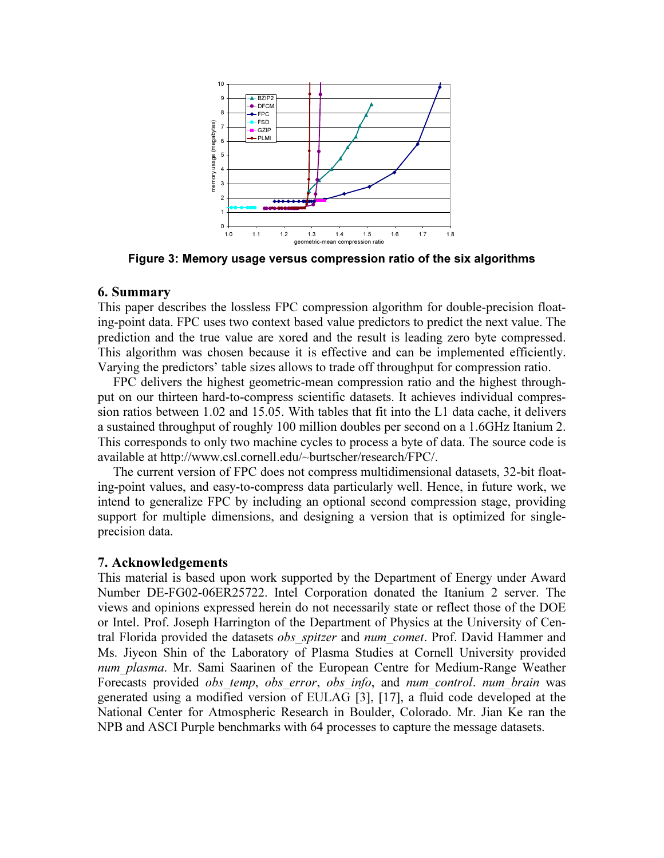

Figure 3: Memory usage versus compression ratio of the six algorithms

## 6. Summary

This paper describes the lossless FPC compression algorithm for double-precision floating-point data. FPC uses two context based value predictors to predict the next value. The prediction and the true value are xored and the result is leading zero byte compressed. This algorithm was chosen because it is effective and can be implemented efficiently. Varying the predictors' table sizes allows to trade off throughput for compression ratio.

FPC delivers the highest geometric-mean compression ratio and the highest throughput on our thirteen hard-to-compress scientific datasets. It achieves individual compression ratios between 1.02 and 15.05. With tables that fit into the L1 data cache, it delivers a sustained throughput of roughly 100 million doubles per second on a 1.6GHz Itanium 2. This corresponds to only two machine cycles to process a byte of data. The source code is available at http://www.csl.cornell.edu/~burtscher/research/FPC/.

The current version of FPC does not compress multidimensional datasets, 32-bit floating-point values, and easy-to-compress data particularly well. Hence, in future work, we intend to generalize FPC by including an optional second compression stage, providing support for multiple dimensions, and designing a version that is optimized for singleprecision data.

## 7. Acknowledgements

This material is based upon work supported by the Department of Energy under Award Number DE-FG02-06ER25722. Intel Corporation donated the Itanium 2 server. The views and opinions expressed herein do not necessarily state or reflect those of the DOE or Intel. Prof. Joseph Harrington of the Department of Physics at the University of Central Florida provided the datasets obs spitzer and num comet. Prof. David Hammer and Ms. Jiyeon Shin of the Laboratory of Plasma Studies at Cornell University provided num plasma. Mr. Sami Saarinen of the European Centre for Medium-Range Weather Forecasts provided *obs temp, obs error, obs info, and num control. num brain* was generated using a modified version of EULAG [3], [17], a fluid code developed at the National Center for Atmospheric Research in Boulder, Colorado. Mr. Jian Ke ran the NPB and ASCI Purple benchmarks with 64 processes to capture the message datasets.